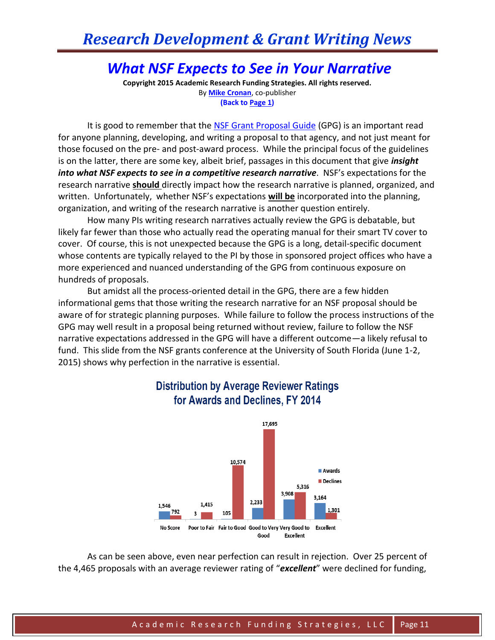### *Research Development & Grant Writing News*

### *What NSF Expects to See in Your Narrative*

**Copyright 2015 Academic Research Funding Strategies. All rights reserved.** By **[Mike Cronan](mailto:mjcronan@gmail.com)**, co-publisher **(Back to Page 1)**

It is good to remember that the [NSF Grant Proposal Guide](http://www.nsf.gov/pubs/policydocs/pappguide/nsf15001/gpg_index.jsp) (GPG) is an important read for anyone planning, developing, and writing a proposal to that agency, and not just meant for those focused on the pre- and post-award process. While the principal focus of the guidelines is on the latter, there are some key, albeit brief, passages in this document that give *insight into what NSF expects to see in a competitive research narrative*. NSF's expectations for the research narrative **should** directly impact how the research narrative is planned, organized, and written. Unfortunately, whether NSF's expectations **will be** incorporated into the planning, organization, and writing of the research narrative is another question entirely.

How many PIs writing research narratives actually review the GPG is debatable, but likely far fewer than those who actually read the operating manual for their smart TV cover to cover. Of course, this is not unexpected because the GPG is a long, detail-specific document whose contents are typically relayed to the PI by those in sponsored project offices who have a more experienced and nuanced understanding of the GPG from continuous exposure on hundreds of proposals.

But amidst all the process-oriented detail in the GPG, there are a few hidden informational gems that those writing the research narrative for an NSF proposal should be aware of for strategic planning purposes. While failure to follow the process instructions of the GPG may well result in a proposal being returned without review, failure to follow the NSF narrative expectations addressed in the GPG will have a different outcome—a likely refusal to fund. This slide from the NSF grants conference at the University of South Florida (June 1-2, 2015) shows why perfection in the narrative is essential.



#### **Distribution by Average Reviewer Ratings** for Awards and Declines, FY 2014

As can be seen above, even near perfection can result in rejection. Over 25 percent of the 4,465 proposals with an average reviewer rating of "*excellent*" were declined for funding,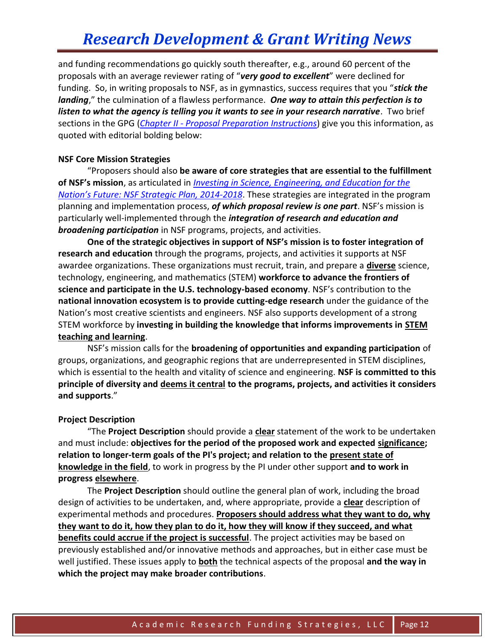## *Research Development & Grant Writing News*

and funding recommendations go quickly south thereafter, e.g., around 60 percent of the proposals with an average reviewer rating of "*very good to excellent*" were declined for funding. So, in writing proposals to NSF, as in gymnastics, success requires that you "*stick the landing*," the culmination of a flawless performance. *One way to attain this perfection is to listen to what the agency is telling you it wants to see in your research narrative*. Two brief sections in the GPG (*Chapter II - [Proposal Preparation Instructions](http://www.nsf.gov/pubs/policydocs/pappguide/nsf15001/gpg_2.jsp)*) give you this information, as quoted with editorial bolding below:

#### **NSF Core Mission Strategies**

"Proposers should also **be aware of core strategies that are essential to the fulfillment of NSF's mission**, as articulated in *[Investing in Science, Engineering, and Education for the](http://www.nsf.gov/pubs/2014/nsf14043/nsf14043.pdf)  [Nation's Future: NSF Strategi](http://www.nsf.gov/pubs/2014/nsf14043/nsf14043.pdf)c Plan, 2014-2018*. These strategies are integrated in the program planning and implementation process, *of which proposal review is one part*. NSF's mission is particularly well-implemented through the *integration of research and education and broadening participation* in NSF programs, projects, and activities.

**One of the strategic objectives in support of NSF's mission is to foster integration of research and education** through the programs, projects, and activities it supports at NSF awardee organizations. These organizations must recruit, train, and prepare a **diverse** science, technology, engineering, and mathematics (STEM) **workforce to advance the frontiers of science and participate in the U.S. technology-based economy**. NSF's contribution to the **national innovation ecosystem is to provide cutting-edge research** under the guidance of the Nation's most creative scientists and engineers. NSF also supports development of a strong STEM workforce by **investing in building the knowledge that informs improvements in STEM teaching and learning**.

NSF's mission calls for the **broadening of opportunities and expanding participation** of groups, organizations, and geographic regions that are underrepresented in STEM disciplines, which is essential to the health and vitality of science and engineering. **NSF is committed to this principle of diversity and deems it central to the programs, projects, and activities it considers and supports**."

#### **Project Description**

"The **Project Description** should provide a **clear** statement of the work to be undertaken and must include: **objectives for the period of the proposed work and expected significance; relation to longer-term goals of the PI's project; and relation to the present state of knowledge in the field**, to work in progress by the PI under other support **and to work in progress elsewhere**.

The **Project Description** should outline the general plan of work, including the broad design of activities to be undertaken, and, where appropriate, provide a **clear** description of experimental methods and procedures. **Proposers should address what they want to do, why they want to do it, how they plan to do it, how they will know if they succeed, and what benefits could accrue if the project is successful**. The project activities may be based on previously established and/or innovative methods and approaches, but in either case must be well justified. These issues apply to **both** the technical aspects of the proposal **and the way in which the project may make broader contributions**.